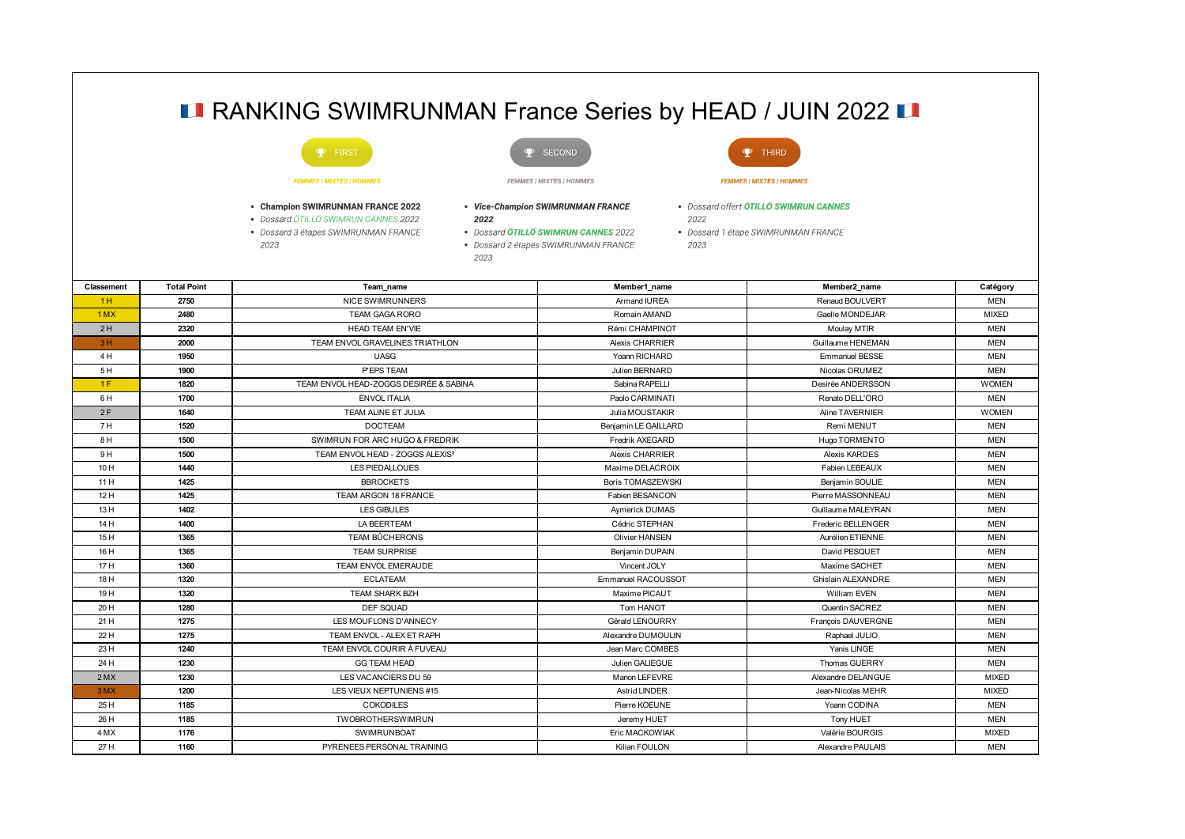|            |                    | <b>LA RANKING SWIMRUNMAN France Series by HEAD / JUIN 2022 LA</b>                                                         |                                                                                                                                   |                        |                                                                                      |              |
|------------|--------------------|---------------------------------------------------------------------------------------------------------------------------|-----------------------------------------------------------------------------------------------------------------------------------|------------------------|--------------------------------------------------------------------------------------|--------------|
|            |                    | $P$ FIRST                                                                                                                 | SECOND                                                                                                                            |                        | THIRD<br>Ф.                                                                          |              |
|            |                    | <b>FEMMES   MIXTES   HOMMES</b>                                                                                           | <b>FEMMES   MIXTES   HOMMES</b>                                                                                                   |                        | <b>FEMMES   MIXTES   HOMMES</b>                                                      |              |
|            |                    | • Champion SWIMRUNMAN FRANCE 2022<br>• Dossard ÖTILLÖ SWIMRUN CANNES 2022<br>• Dossard 3 étapes SWIMRUNMAN FRANCE<br>2023 | • Vice-Champion SWIMRUNMAN FRANCE<br>2022<br>• Dossard ÖTILLÖ SWIMRUN CANNES 2022<br>• Dossard 2 étapes SWIMRUNMAN FRANCE<br>2023 | 2022<br>2023           | • Dossard offert <b>ÖTILLÖ SWIMRUN CANNES</b><br>• Dossard 1 étape SWIMRUNMAN FRANCE |              |
| Classement | <b>Total Point</b> | Team name                                                                                                                 |                                                                                                                                   | Member1_name           | Member2_name                                                                         | Catégory     |
| 1H         | 2750               | <b>NICE SWIMRUNNERS</b>                                                                                                   |                                                                                                                                   | Armand IUREA           | <b>Renaud BOULVERT</b>                                                               | <b>MEN</b>   |
| $1$ MX     | 2480               | <b>TEAM GAGA RORO</b>                                                                                                     |                                                                                                                                   | Romain AMAND           | Gaelle MONDEJAR                                                                      | <b>MIXED</b> |
| 2H         | 2320               | <b>HEAD TEAM EN'VIE</b>                                                                                                   |                                                                                                                                   | Rémi CHAMPINOT         | Moulay MTIR                                                                          | <b>MEN</b>   |
| 3H         | 2000               | TEAM ENVOL GRAVELINES TRIATHLON                                                                                           |                                                                                                                                   | <b>Alexis CHARRIER</b> | Guillaume HENEMAN                                                                    | <b>MEN</b>   |
| 4 H        | 1950               | <b>UASG</b>                                                                                                               |                                                                                                                                   | Yoann RICHARD          | <b>Emmanuel BESSE</b>                                                                | <b>MEN</b>   |
| 5 H        | 1900               | P'EPS TEAM                                                                                                                |                                                                                                                                   | Julien BERNARD         | Nicolas DRUMEZ                                                                       | <b>MEN</b>   |
| 1F         | 1820               | TEAM ENVOL HEAD-ZOGGS DESIRÉE & SABINA                                                                                    |                                                                                                                                   | Sabina RAPELLI         | Desirée ANDERSSON                                                                    | <b>WOMEN</b> |
| 6 H        | 1700               | <b>ENVOL ITALIA</b>                                                                                                       |                                                                                                                                   | Paolo CARMINATI        | Renato DELL'ORO                                                                      | <b>MEN</b>   |
| 2F         | 1640               | TEAM ALINE ET JULIA                                                                                                       |                                                                                                                                   | Julia MOUSTAKIR        | <b>Aline TAVERNIER</b>                                                               | <b>WOMEN</b> |
| 7 H        | 1520               | <b>DOCTEAM</b>                                                                                                            |                                                                                                                                   | Benjamin LE GAILLARD   | Remi MENUT                                                                           | <b>MEN</b>   |
| 8H         | 1500               | SWIMRUN FOR ARC HUGO & FREDRIK                                                                                            |                                                                                                                                   | <b>Fredrik AXEGARD</b> | Hugo TORMENTO                                                                        | <b>MEN</b>   |
| 9H         | 1500               | TEAM ENVOL HEAD - ZOGGS ALEXIS <sup>2</sup>                                                                               |                                                                                                                                   | <b>Alexis CHARRIER</b> | <b>Alexis KARDES</b>                                                                 | <b>MEN</b>   |
| 10 H       | 1440               | <b>LES PIEDALLOUES</b>                                                                                                    |                                                                                                                                   | Maxime DELACROIX       | Fabien LEBEAUX                                                                       | <b>MEN</b>   |
| 11H        | 1425               | <b>BBROCKETS</b>                                                                                                          |                                                                                                                                   | Boris TOMASZEWSKI      | Benjamin SOULIE                                                                      | <b>MEN</b>   |
| 12H        | 1425               | TEAM ARGON 18 FRANCE                                                                                                      |                                                                                                                                   | Fabien BESANCON        | Pierre MASSONNEAU                                                                    | <b>MEN</b>   |
| 13 H       | 1402               | <b>LES GIBULES</b>                                                                                                        |                                                                                                                                   | Aymerick DUMAS         | Guillaume MALEYRAN                                                                   | <b>MEN</b>   |
| 14 H       | 1400               | LA BEERTEAM                                                                                                               |                                                                                                                                   | Cédric STEPHAN         | Frederic BELLENGER                                                                   | <b>MEN</b>   |
| 15 H       | 1365               | TEAM BÛCHERONS                                                                                                            |                                                                                                                                   | Olivier HANSEN         | Aurélien ETIENNE                                                                     | <b>MEN</b>   |
| 16 H       | 1365               | <b>TEAM SURPRISE</b>                                                                                                      |                                                                                                                                   | Benjamin DUPAIN        | David PESQUET                                                                        | <b>MEN</b>   |
| 17 H       | 1360               | <b>TEAM ENVOL EMERAUDE</b>                                                                                                |                                                                                                                                   | Vincent JOLY           | Maxime SACHET                                                                        | <b>MEN</b>   |
| 18 H       | 1320               | <b>ECLATEAM</b>                                                                                                           |                                                                                                                                   | Emmanuel RACOUSSOT     | <b>Ghislain ALEXANDRE</b>                                                            | <b>MEN</b>   |
| 19 H       | 1320               | TEAM SHARK BZH                                                                                                            |                                                                                                                                   | Maxime PICAUT          | William EVEN                                                                         | <b>MEN</b>   |
| 20 H       | 1280               | DEF SQUAD                                                                                                                 |                                                                                                                                   | Tom HANOT              | Quentin SACREZ                                                                       | <b>MEN</b>   |
| 21 H       | 1275               | LES MOUFLONS D'ANNECY                                                                                                     |                                                                                                                                   | Gérald LENOURRY        | François DAUVERGNE                                                                   | <b>MEN</b>   |
| 22 H       | 1275               | TEAM ENVOL - ALEX ET RAPH                                                                                                 |                                                                                                                                   | Alexandre DUMOULIN     | Raphael JULIO                                                                        | <b>MEN</b>   |
| 23 H       | 1240               | TEAM ENVOL COURIR À FUVEAU                                                                                                |                                                                                                                                   | Jean Marc COMBES       | Yanis LINGE                                                                          | <b>MEN</b>   |
| 24 H       | 1230               | <b>GG TEAM HEAD</b>                                                                                                       |                                                                                                                                   | Julien GALIEGUE        | Thomas GUERRY                                                                        | <b>MEN</b>   |
| $2$ MX     | 1230               | LES VACANCIERS DU 59                                                                                                      |                                                                                                                                   | Manon LEFEVRE          | Alexandre DELANGUE                                                                   | <b>MIXED</b> |
| $3$ MX     | 1200               | LES VIEUX NEPTUNIENS #15                                                                                                  |                                                                                                                                   | <b>Astrid LINDER</b>   | Jean-Nicolas MEHR                                                                    | <b>MIXED</b> |
| 25 H       | 1185               | <b>COKODILES</b>                                                                                                          |                                                                                                                                   | Pierre KOEUNE          | Yoann CODINA                                                                         | <b>MEN</b>   |
| 26 H       | 1185               | TWOBROTHERSWIMRUN                                                                                                         |                                                                                                                                   | Jeremy HUET            | Tony HUET                                                                            | <b>MEN</b>   |
| 4 MX       | 1176               | SWIMRUNBOAT                                                                                                               |                                                                                                                                   | Eric MACKOWIAK         | Valérie BOURGIS                                                                      | <b>MIXED</b> |
| 27 H       | 1160               | PYRENEES PERSONAL TRAINING                                                                                                |                                                                                                                                   | Kilian FOULON          | Alexandre PAULAIS                                                                    | MEN          |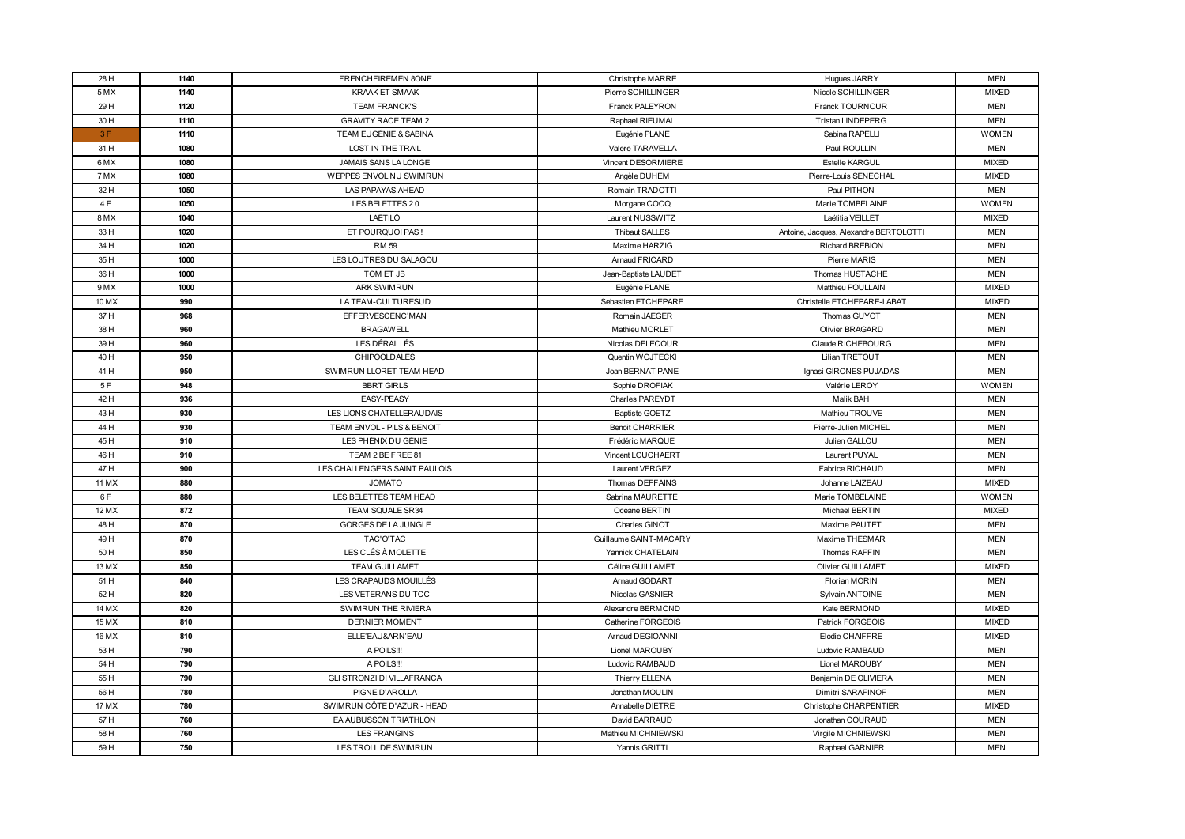| 28 H   | 1140 | FRENCHFIREMEN 8ONE                | Christophe MARRE       | Hugues JARRY                           | <b>MEN</b>   |
|--------|------|-----------------------------------|------------------------|----------------------------------------|--------------|
| 5 MX   | 1140 | <b>KRAAK ET SMAAK</b>             | Pierre SCHILLINGER     | Nicole SCHILLINGER                     | <b>MIXED</b> |
| 29 H   | 1120 | <b>TEAM FRANCK'S</b>              | <b>Franck PALEYRON</b> | Franck TOURNOUR                        | <b>MEN</b>   |
| 30 H   | 1110 | <b>GRAVITY RACE TEAM 2</b>        | Raphael RIEUMAL        | <b>Tristan LINDEPERG</b>               | <b>MEN</b>   |
| 3F     | 1110 | TEAM EUGÉNIE & SABINA             | Eugénie PLANE          | Sabina RAPELLI                         | <b>WOMEN</b> |
| 31 H   | 1080 | LOST IN THE TRAIL                 | Valere TARAVELLA       | Paul ROULLIN                           | <b>MEN</b>   |
| 6 MX   | 1080 | <b>JAMAIS SANS LA LONGE</b>       | Vincent DESORMIERE     | <b>Estelle KARGUL</b>                  | <b>MIXED</b> |
| 7 MX   | 1080 | WEPPES ENVOL NU SWIMRUN           | Angèle DUHEM           | Pierre-Louis SENECHAL                  | <b>MIXED</b> |
| 32 H   | 1050 | LAS PAPAYAS AHEAD                 | Romain TRADOTTI        | Paul PITHON                            | <b>MEN</b>   |
| 4 F    | 1050 | LES BELETTES 2.0                  | Morgane COCQ           | Marie TOMBELAINE                       | <b>WOMEN</b> |
| 8 MX   | 1040 | LAËTILÖ                           | Laurent NUSSWITZ       | Laëtitia VEILLET                       | <b>MIXED</b> |
| 33 H   | 1020 | ET POURQUOI PAS!                  | <b>Thibaut SALLES</b>  | Antoine, Jacques, Alexandre BERTOLOTTI | <b>MEN</b>   |
| 34 H   | 1020 | <b>RM 59</b>                      | Maxime HARZIG          | <b>Richard BREBION</b>                 | <b>MEN</b>   |
| 35 H   | 1000 | LES LOUTRES DU SALAGOU            | Arnaud FRICARD         | Pierre MARIS                           | <b>MEN</b>   |
| 36 H   | 1000 | TOM ET JB                         | Jean-Baptiste LAUDET   | Thomas HUSTACHE                        | <b>MEN</b>   |
| 9 MX   | 1000 | <b>ARK SWIMRUN</b>                | Eugénie PLANE          | Matthieu POULLAIN                      | <b>MIXED</b> |
| 10 MX  | 990  | LA TEAM-CULTURESUD                | Sebastien ETCHEPARE    | Christelle ETCHEPARE-LABAT             | <b>MIXED</b> |
| 37 H   | 968  | EFFERVESCENC'MAN                  | Romain JAEGER          | Thomas GUYOT                           | <b>MEN</b>   |
| 38 H   | 960  | <b>BRAGAWELL</b>                  | Mathieu MORLET         | Olivier BRAGARD                        | <b>MEN</b>   |
| 39 H   | 960  | LES DÉRAILLÉS                     | Nicolas DELECOUR       | Claude RICHEBOURG                      | <b>MEN</b>   |
| 40 H   | 950  | <b>CHIPOOLDALES</b>               | Quentin WOJTECKI       | Lilian TRETOUT                         | <b>MEN</b>   |
| 41 H   | 950  | SWIMRUN LLORET TEAM HEAD          | Joan BERNAT PANE       | Ignasi GIRONES PUJADAS                 | <b>MEN</b>   |
| 5F     | 948  | <b>BBRT GIRLS</b>                 | Sophie DROFIAK         | Valérie LEROY                          | <b>WOMEN</b> |
| 42 H   | 936  | <b>EASY-PEASY</b>                 | <b>Charles PAREYDT</b> | Malik BAH                              | <b>MEN</b>   |
| 43 H   | 930  | LES LIONS CHATELLERAUDAIS         | <b>Baptiste GOETZ</b>  | Mathieu TROUVE                         | <b>MEN</b>   |
| 44 H   | 930  | TEAM ENVOL - PILS & BENOIT        | <b>Benoit CHARRIER</b> | Pierre-Julien MICHEL                   | <b>MEN</b>   |
| 45 H   | 910  | LES PHÉNIX DU GÉNIE               | Frédéric MARQUE        | Julien GALLOU                          | <b>MEN</b>   |
| 46 H   | 910  | TEAM 2 BE FREE 81                 | Vincent LOUCHAERT      | Laurent PUYAL                          | <b>MEN</b>   |
| 47 H   | 900  | LES CHALLENGERS SAINT PAULOIS     | Laurent VERGEZ         | Fabrice RICHAUD                        | <b>MEN</b>   |
| 11 M X | 880  | <b>JOMATO</b>                     | Thomas DEFFAINS        | Johanne LAIZEAU                        | <b>MIXED</b> |
| 6 F    | 880  | LES BELETTES TEAM HEAD            | Sabrina MAURETTE       | Marie TOMBELAINE                       | <b>WOMEN</b> |
| 12 MX  | 872  | <b>TEAM SQUALE SR34</b>           | Oceane BERTIN          | Michael BERTIN                         | <b>MIXED</b> |
| 48 H   | 870  | GORGES DE LA JUNGLE               | Charles GINOT          | Maxime PAUTET                          | <b>MEN</b>   |
| 49 H   | 870  | TAC'O'TAC                         | Guillaume SAINT-MACARY | Maxime THESMAR                         | <b>MEN</b>   |
| 50 H   | 850  | LES CLÉS À MOLETTE                | Yannick CHATELAIN      | Thomas RAFFIN                          | <b>MEN</b>   |
| 13 M X | 850  | <b>TEAM GUILLAMET</b>             | Céline GUILLAMET       | <b>Olivier GUILLAMET</b>               | <b>MIXED</b> |
| 51 H   | 840  | LES CRAPAUDS MOUILLÉS             | Arnaud GODART          | <b>Florian MORIN</b>                   | <b>MEN</b>   |
| 52 H   | 820  | LES VETERANS DU TCC               | Nicolas GASNIER        | Sylvain ANTOINE                        | <b>MEN</b>   |
| 14 MX  | 820  | SWIMRUN THE RIVIERA               | Alexandre BERMOND      | Kate BERMOND                           | <b>MIXED</b> |
| 15 M X | 810  | <b>DERNIER MOMENT</b>             | Catherine FORGEOIS     | Patrick FORGEOIS                       | <b>MIXED</b> |
| 16 MX  | 810  | ELLE'EAU&ARN'EAU                  | Arnaud DEGIOANNI       | Elodie CHAIFFRE                        | <b>MIXED</b> |
| 53 H   | 790  | A POILS!!!                        | Lionel MAROUBY         | Ludovic RAMBAUD                        | <b>MEN</b>   |
| 54 H   | 790  | A POILS!!!                        | Ludovic RAMBAUD        | Lionel MAROUBY                         | <b>MEN</b>   |
| 55 H   | 790  | <b>GLI STRONZI DI VILLAFRANCA</b> | Thierry ELLENA         | Benjamin DE OLIVIERA                   | <b>MEN</b>   |
| 56 H   | 780  | PIGNE D'AROLLA                    | Jonathan MOULIN        | Dimitri SARAFINOF                      | <b>MEN</b>   |
| 17 MX  | 780  | SWIMRUN CÔTE D'AZUR - HEAD        | Annabelle DIETRE       | Christophe CHARPENTIER                 | <b>MIXED</b> |
| 57 H   | 760  | EA AUBUSSON TRIATHLON             | David BARRAUD          | Jonathan COURAUD                       | <b>MEN</b>   |
| 58 H   | 760  | LES FRANGINS                      | Mathieu MICHNIEWSKI    | Virgile MICHNIEWSKI                    | <b>MEN</b>   |
| 59 H   | 750  | LES TROLL DE SWIMRUN              | Yannis GRITTI          | Raphael GARNIER                        | <b>MEN</b>   |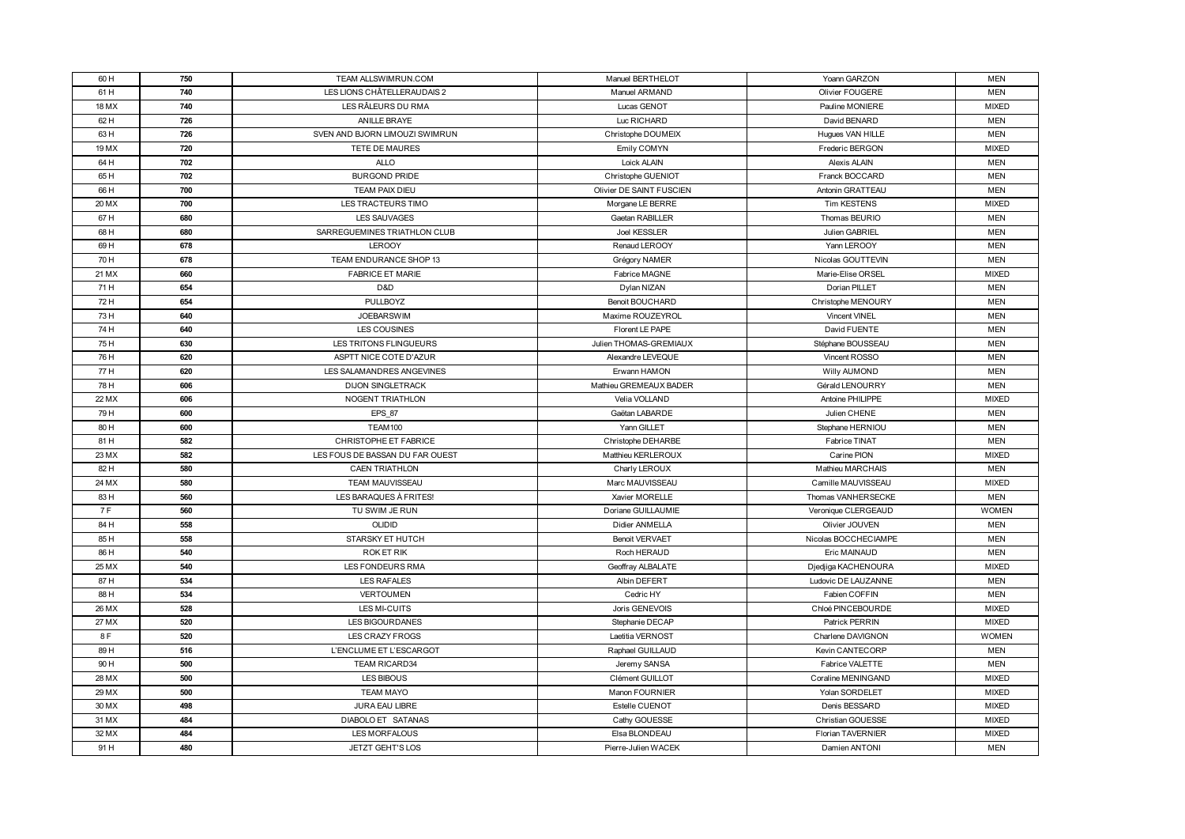| 60 H           | 750        | TEAM ALLSWIMRUN.COM             | Manuel BERTHELOT                  | Yoann GARZON                               | <b>MEN</b>                   |
|----------------|------------|---------------------------------|-----------------------------------|--------------------------------------------|------------------------------|
| 61 H           | 740        | LES LIONS CHÂTELLERAUDAIS 2     | Manuel ARMAND                     | Olivier FOUGERE                            | <b>MEN</b>                   |
| 18 M X         | 740        | LES RÂLEURS DU RMA              | Lucas GENOT                       | Pauline MONIERE                            | <b>MIXED</b>                 |
| 62 H           | 726        | <b>ANILLE BRAYE</b>             | Luc RICHARD                       | David BENARD                               | <b>MEN</b>                   |
| 63 H           | 726        | SVEN AND BJORN LIMOUZI SWIMRUN  | Christophe DOUMEIX                | Hugues VAN HILLE                           | <b>MEN</b>                   |
| 19 MX          | 720        | TETE DE MAURES                  | Emily COMYN                       | Frederic BERGON                            | <b>MIXED</b>                 |
| 64 H           | 702        | <b>ALLO</b>                     | Loick ALAIN                       | Alexis ALAIN                               | <b>MEN</b>                   |
| 65 H           | 702        | <b>BURGOND PRIDE</b>            | Christophe GUENIOT                | Franck BOCCARD                             | <b>MEN</b>                   |
| 66 H           | 700        | TEAM PAIX DIEU                  | Olivier DE SAINT FUSCIEN          | Antonin GRATTEAU                           | <b>MEN</b>                   |
| 20 MX          | 700        | LES TRACTEURS TIMO              | Morgane LE BERRE                  | Tim KESTENS                                | <b>MIXED</b>                 |
| 67 H           | 680        | <b>LES SAUVAGES</b>             | Gaetan RABILLER                   | Thomas BEURIO                              | <b>MEN</b>                   |
| 68 H           | 680        | SARREGUEMINES TRIATHLON CLUB    | Joel KESSLER                      | Julien GABRIEL                             | <b>MEN</b>                   |
| 69 H           | 678        | <b>LEROOY</b>                   | Renaud LEROOY                     | Yann LEROOY                                | <b>MEN</b>                   |
| 70 H           | 678        | TEAM ENDURANCE SHOP 13          | Grégory NAMER                     | Nicolas GOUTTEVIN                          | <b>MEN</b>                   |
| 21 MX          | 660        | <b>FABRICE ET MARIE</b>         | Fabrice MAGNE                     | Marie-Elise ORSEL                          | <b>MIXED</b>                 |
| 71 H           | 654        | D&D                             | Dylan NIZAN                       | Dorian PILLET                              | <b>MEN</b>                   |
| 72 H           | 654        | PULLBOYZ                        | <b>Benoit BOUCHARD</b>            | Christophe MENOURY                         | <b>MEN</b>                   |
| 73 H           | 640        | <b>JOEBARSWIM</b>               | Maxime ROUZEYROL                  | <b>Vincent VINEL</b>                       | <b>MEN</b>                   |
| 74 H           | 640        | LES COUSINES                    | Florent LE PAPE                   | David FUENTE                               | <b>MEN</b>                   |
| 75 H           | 630        | LES TRITONS FLINGUEURS          | Julien THOMAS-GREMIAUX            | Stéphane BOUSSEAU                          | <b>MEN</b>                   |
| 76 H           | 620        | ASPTT NICE COTE D'AZUR          | Alexandre LEVEQUE                 | Vincent ROSSO                              | <b>MEN</b>                   |
| 77 H           | 620        | LES SALAMANDRES ANGEVINES       | Erwann HAMON                      | <b>Willy AUMOND</b>                        | <b>MEN</b>                   |
| 78 H           | 606        | <b>DIJON SINGLETRACK</b>        | Mathieu GREMEAUX BADER            | Gérald LENOURRY                            | <b>MEN</b>                   |
| 22 MX          | 606        | NOGENT TRIATHLON                | Velia VOLLAND                     | Antoine PHILIPPE                           | <b>MIXED</b>                 |
| 79 H           | 600        | <b>EPS 87</b>                   | Gaëtan LABARDE                    | Julien CHENE                               | <b>MEN</b>                   |
| 80 H           | 600        | TEAM100                         | Yann GILLET                       | Stephane HERNIOU                           | <b>MEN</b>                   |
| 81 H           | 582        | CHRISTOPHE ET FABRICE           | Christophe DEHARBE                | Fabrice TINAT                              | <b>MEN</b>                   |
| 23 MX          | 582        | LES FOUS DE BASSAN DU FAR OUEST | Matthieu KERLEROUX                | Carine PION                                | <b>MIXED</b>                 |
| 82 H           | 580        | <b>CAEN TRIATHLON</b>           | Charly LEROUX                     | Mathieu MARCHAIS                           | <b>MEN</b>                   |
| 24 MX          | 580        | TEAM MAUVISSEAU                 | Marc MAUVISSEAU                   | Camille MAUVISSEAU                         | <b>MIXED</b>                 |
| 83 H           | 560        | LES BARAQUES À FRITES!          | Xavier MORELLE                    | Thomas VANHERSECKE                         | <b>MEN</b>                   |
| 7 F            | 560        | TU SWIM JE RUN                  | Doriane GUILLAUMIE                | Veronique CLERGEAUD                        | <b>WOMEN</b>                 |
| 84 H           | 558        | <b>OLIDID</b>                   | Didier ANMELLA                    | Olivier JOUVEN                             | <b>MEN</b>                   |
| 85 H           | 558        | STARSKY ET HUTCH                | <b>Benoit VERVAET</b>             | Nicolas BOCCHECIAMPE                       | <b>MEN</b>                   |
| 86 H           | 540        | ROK ET RIK                      | Roch HERAUD                       | Eric MAINAUD                               | <b>MEN</b>                   |
| 25 MX          | 540        | <b>LES FONDEURS RMA</b>         | Geoffray ALBALATE                 | Djedjiga KACHENOURA<br>Ludovic DE LAUZANNE | <b>MIXED</b>                 |
| 87 H<br>88 H   | 534<br>534 | LES RAFALES<br>VERTOUMEN        | Albin DEFERT<br>Cedric HY         | Fabien COFFIN                              | <b>MEN</b><br><b>MEN</b>     |
|                |            |                                 |                                   |                                            |                              |
| 26 MX<br>27 MX | 528<br>520 | LES MI-CUITS<br>LES BIGOURDANES | Joris GENEVOIS<br>Stephanie DECAP | Chloé PINCEBOURDE<br>Patrick PERRIN        | <b>MIXED</b><br><b>MIXED</b> |
| 8F             | 520        | <b>LES CRAZY FROGS</b>          |                                   | Charlene DAVIGNON                          | <b>WOMEN</b>                 |
|                | 516        | L'ENCLUME ET L'ESCARGOT         | Laetitia VERNOST                  | Kevin CANTECORP                            | <b>MEN</b>                   |
| 89 H<br>90 H   | 500        | <b>TEAM RICARD34</b>            | Raphael GUILLAUD<br>Jeremy SANSA  | Fabrice VALETTE                            | <b>MEN</b>                   |
|                | 500        | LES BIBOUS                      | Clément GUILLOT                   | Coraline MENINGAND                         | <b>MIXED</b>                 |
| 28 MX          | 500        | <b>TEAM MAYO</b>                | Manon FOURNIER                    | Yolan SORDELET                             | <b>MIXED</b>                 |
| 29 MX          | 498        | JURA EAU LIBRE                  | Estelle CUENOT                    | Denis BESSARD                              | <b>MIXED</b>                 |
| 30 MX          |            |                                 |                                   |                                            |                              |
| 31 MX          | 484        | DIABOLO ET SATANAS              | Cathy GOUESSE                     | Christian GOUESSE                          | <b>MIXED</b>                 |
| 32 MX          | 484        | LES MORFALOUS                   | Elsa BLONDEAU                     | <b>Florian TAVERNIER</b>                   | <b>MIXED</b>                 |
| 91 H           | 480        | JETZT GEHT'S LOS                | Pierre-Julien WACEK               | Damien ANTONI                              | MEN                          |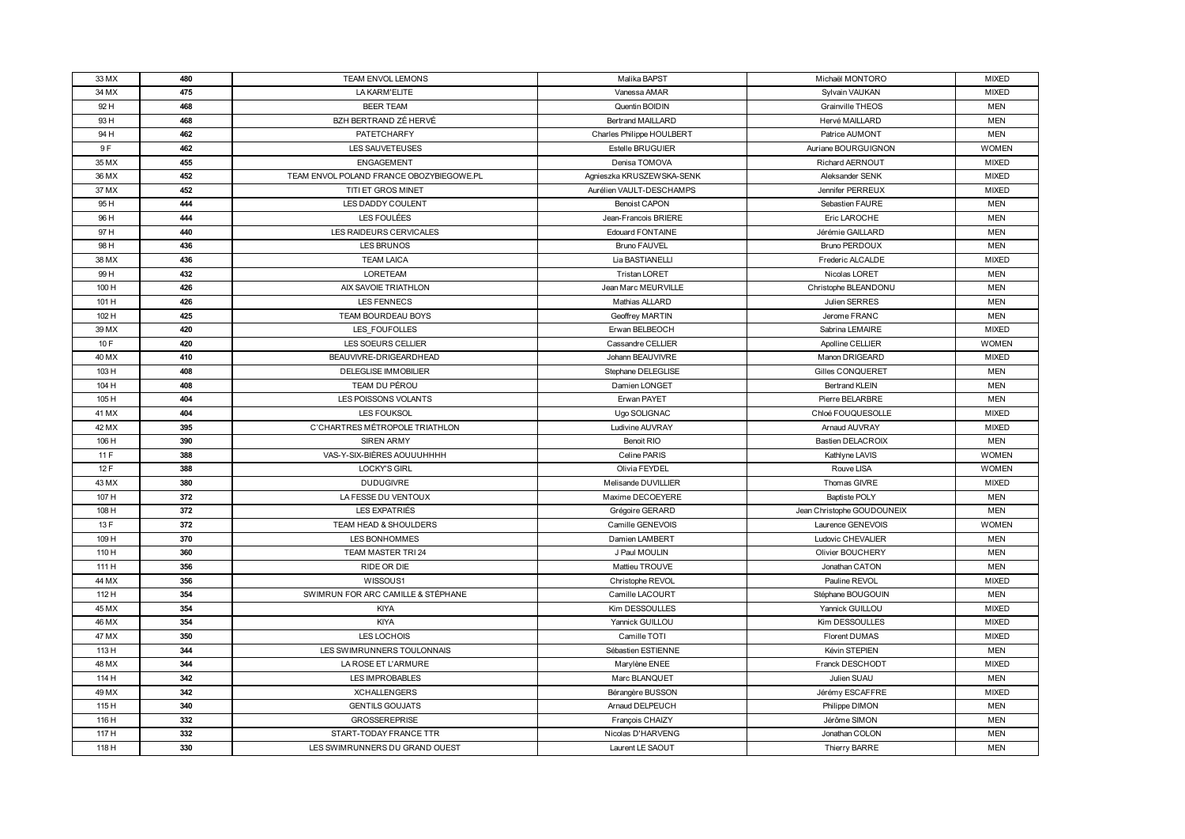| 33 MX          | 480        | TEAM ENVOL LEMONS                                 | Malika BAPST                        | Michaël MONTORO                  | <b>MIXED</b>               |
|----------------|------------|---------------------------------------------------|-------------------------------------|----------------------------------|----------------------------|
| 34 MX          | 475        | LA KARM'ELITE                                     | Vanessa AMAR                        | Sylvain VAUKAN                   | <b>MIXED</b>               |
| 92 H           | 468        | <b>BEER TEAM</b>                                  | Quentin BOIDIN                      | Grainville THEOS                 | <b>MEN</b>                 |
| 93 H           | 468        | BZH BERTRAND ZÉ HERVÉ                             | <b>Bertrand MAILLARD</b>            | Hervé MAILLARD                   | <b>MEN</b>                 |
| 94 H           | 462        | PATETCHARFY                                       | Charles Philippe HOULBERT           | Patrice AUMONT                   | <b>MEN</b>                 |
| 9F             | 462        | LES SAUVETEUSES                                   | Estelle BRUGUIER                    | Auriane BOURGUIGNON              | <b>WOMEN</b>               |
| 35 MX          | 455        | <b>ENGAGEMENT</b>                                 | Denisa TOMOVA                       | <b>Richard AERNOUT</b>           | <b>MIXED</b>               |
| 36 MX          | 452        | TEAM ENVOL POLAND FRANCE OBOZYBIEGOWE.PL          | Agnieszka KRUSZEWSKA-SENK           | Aleksander SENK                  | <b>MIXED</b>               |
| 37 MX          | 452        | TITI ET GROS MINET                                | Aurélien VAULT-DESCHAMPS            | Jennifer PERREUX                 | <b>MIXED</b>               |
| 95 H           | 444        | LES DADDY COULENT                                 | <b>Benoist CAPON</b>                | Sebastien FAURE                  | <b>MEN</b>                 |
| 96 H           | 444        | LES FOULÉES                                       | Jean-Francois BRIERE                | Eric LAROCHE                     | <b>MEN</b>                 |
| 97 H           | 440        | LES RAIDEURS CERVICALES                           | <b>Edouard FONTAINE</b>             | Jérémie GAILLARD                 | <b>MEN</b>                 |
| 98 H           | 436        | LES BRUNOS                                        | <b>Bruno FAUVEL</b>                 | Bruno PERDOUX                    | <b>MEN</b>                 |
| 38 MX          | 436        | <b>TEAM LAICA</b>                                 | Lia BASTIANELLI                     | Frederic ALCALDE                 | <b>MIXED</b>               |
| 99 H           | 432        | <b>LORETEAM</b>                                   | <b>Tristan LORET</b>                | Nicolas LORET                    | <b>MEN</b>                 |
| 100 H          | 426        | AIX SAVOIE TRIATHLON                              | Jean Marc MEURVILLE                 | Christophe BLEANDONU             | <b>MEN</b>                 |
| 101 H          | 426        | <b>LES FENNECS</b>                                | Mathias ALLARD                      | Julien SERRES                    | <b>MEN</b>                 |
| 102 H          | 425        | TEAM BOURDEAU BOYS                                | Geoffrey MARTIN                     | Jerome FRANC                     | <b>MEN</b>                 |
| 39 MX          | 420        | LES FOUFOLLES                                     | Erwan BELBEOCH                      | Sabrina LEMAIRE                  | <b>MIXED</b>               |
| 10 F           | 420        | LES SOEURS CELLIER                                | Cassandre CELLIER                   | Apolline CELLIER                 | <b>WOMEN</b>               |
| 40 MX          | 410        | BEAUVIVRE-DRIGEARDHEAD                            | Johann BEAUVIVRE                    | <b>Manon DRIGEARD</b>            | <b>MIXED</b>               |
| 103 H          | 408        | <b>DELEGLISE IMMOBILIER</b>                       | Stephane DELEGLISE                  | <b>Gilles CONQUERET</b>          | <b>MEN</b>                 |
| 104 H          | 408        | TEAM DU PÉROU                                     | Damien LONGET                       | <b>Bertrand KLEIN</b>            | <b>MEN</b>                 |
| 105 H          | 404        | LES POISSONS VOLANTS                              | Erwan PAYET                         | Pierre BELARBRE                  | <b>MEN</b>                 |
| 41 MX          | 404        | <b>LES FOUKSOL</b>                                | Ugo SOLIGNAC                        | Chloé FOUQUESOLLE                | <b>MIXED</b>               |
| 42 MX          | 395        | C'CHARTRES MÉTROPOLE TRIATHLON                    | Ludivine AUVRAY                     | Arnaud AUVRAY                    | <b>MIXED</b>               |
| 106 H          | 390        | <b>SIREN ARMY</b>                                 | Benoit RIO                          | <b>Bastien DELACROIX</b>         | <b>MEN</b>                 |
| 11F            | 388        | VAS-Y-SIX-BIÈRES AOUUUHHHH                        | Celine PARIS                        | Kathlyne LAVIS                   | <b>WOMEN</b>               |
| 12F            | 388        | <b>LOCKY'S GIRL</b>                               | Olivia FEYDEL                       | Rouve LISA                       | <b>WOMEN</b>               |
| 43 MX          | 380        | <b>DUDUGIVRE</b>                                  | Melisande DUVILLIER                 | Thomas GIVRE                     | <b>MIXED</b>               |
| 107 H          | 372        | LA FESSE DU VENTOUX                               | Maxime DECOEYERE                    | <b>Baptiste POLY</b>             | <b>MEN</b>                 |
| 108 H          | 372        | LES EXPATRIÉS                                     | Grégoire GERARD                     | Jean Christophe GOUDOUNEIX       | <b>MEN</b>                 |
| 13 F           | 372        | TEAM HEAD & SHOULDERS                             | Camille GENEVOIS                    | Laurence GENEVOIS                | <b>WOMEN</b>               |
| 109 H          | 370        | LES BONHOMMES                                     | Damien LAMBERT                      | Ludovic CHEVALIER                | <b>MEN</b>                 |
| 110 H          | 360        | TEAM MASTER TRI 24                                | J Paul MOULIN                       | Olivier BOUCHERY                 | <b>MEN</b>                 |
| 111 H          | 356        | RIDE OR DIE                                       | Mattieu TROUVE                      | Jonathan CATON                   | <b>MEN</b>                 |
| 44 MX          | 356        | WISSOUS1                                          | Christophe REVOL                    | Pauline REVOL                    | <b>MIXED</b>               |
| 112 H          | 354        | SWIMRUN FOR ARC CAMILLE & STÉPHANE                | Camille LACOURT                     | Stéphane BOUGOUIN                | <b>MEN</b>                 |
| 45 MX          | 354        | KIYA<br><b>KIYA</b>                               | Kim DESSOULLES                      | Yannick GUILLOU                  | <b>MIXED</b>               |
| 46 MX          | 354        |                                                   | Yannick GUILLOU                     | Kim DESSOULLES                   | <b>MIXED</b>               |
| 47 MX          | 350        | LES LOCHOIS                                       | Camille TOTI                        | <b>Florent DUMAS</b>             | <b>MIXED</b>               |
| 113 H<br>48 MX | 344<br>344 | LES SWIMRUNNERS TOULONNAIS<br>LA ROSE ET L'ARMURE | Sébastien ESTIENNE                  | Kévin STEPIEN<br>Franck DESCHODT | <b>MEN</b><br><b>MIXED</b> |
| 114 H          | 342        | LES IMPROBABLES                                   | Marylène ENEE                       | Julien SUAU                      | <b>MEN</b>                 |
|                |            |                                                   | Marc BLANQUET                       |                                  |                            |
| 49 MX<br>115 H | 342<br>340 | <b>XCHALLENGERS</b><br><b>GENTILS GOUJATS</b>     | Bérangère BUSSON<br>Arnaud DELPEUCH | Jérémy ESCAFFRE                  | <b>MIXED</b><br><b>MEN</b> |
|                |            |                                                   |                                     | Philippe DIMON                   |                            |
| 116 H          | 332        | <b>GROSSEREPRISE</b>                              | François CHAIZY                     | Jérôme SIMON                     | <b>MEN</b>                 |
| 117 H          | 332        | START-TODAY FRANCE TTR                            | Nicolas D'HARVENG                   | Jonathan COLON                   | <b>MEN</b>                 |
| 118 H          | 330        | LES SWIMRUNNERS DU GRAND OUEST                    | Laurent LE SAOUT                    | Thierry BARRE                    | <b>MEN</b>                 |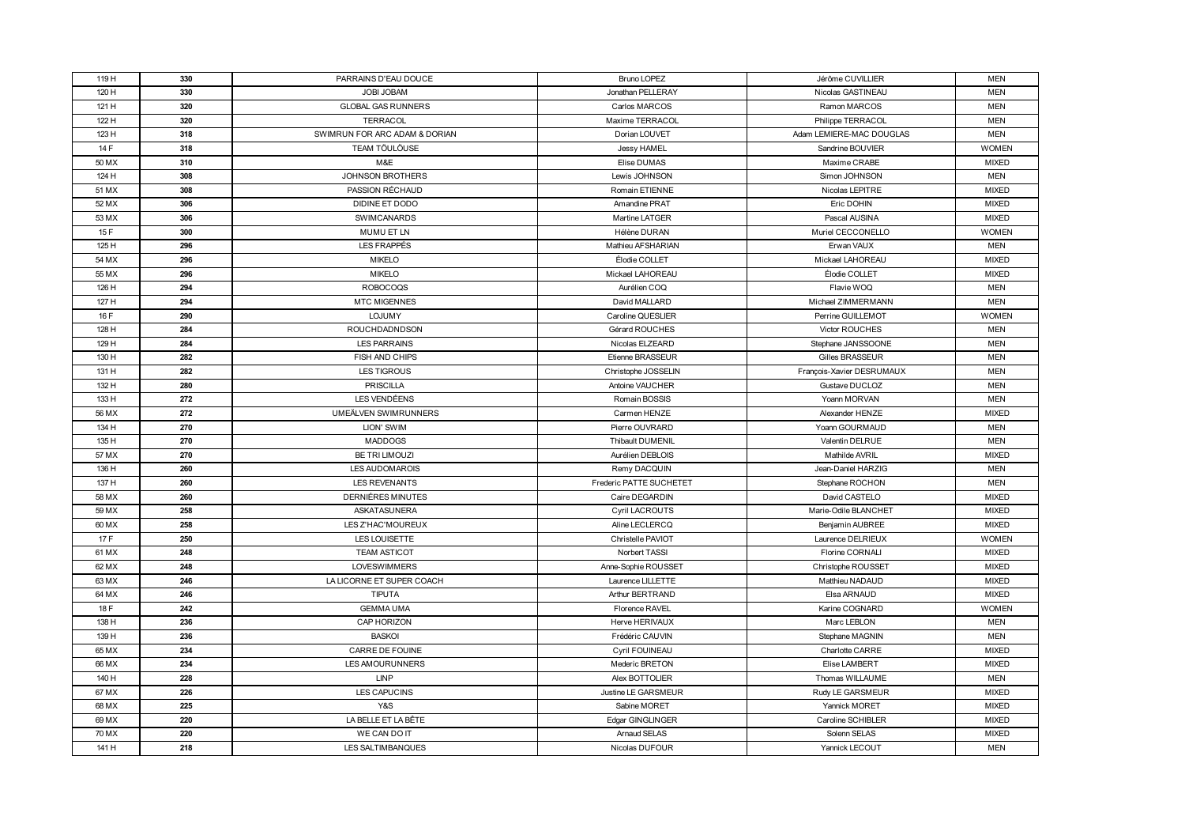| 119 H  | 330 | PARRAINS D'EAU DOUCE          | <b>Bruno LOPEZ</b>      | Jérôme CUVILLIER          | <b>MEN</b>   |
|--------|-----|-------------------------------|-------------------------|---------------------------|--------------|
| 120 H  | 330 | <b>JOBI JOBAM</b>             | Jonathan PELLERAY       | Nicolas GASTINEAU         | <b>MEN</b>   |
| 121 H  | 320 | <b>GLOBAL GAS RUNNERS</b>     | Carlos MARCOS           | Ramon MARCOS              | <b>MEN</b>   |
| 122 H  | 320 | <b>TERRACOL</b>               | Maxime TERRACOL         | Philippe TERRACOL         | <b>MEN</b>   |
| 123 H  | 318 | SWIMRUN FOR ARC ADAM & DORIAN | Dorian LOUVET           | Adam LEMIERE-MAC DOUGLAS  | <b>MEN</b>   |
| 14 F   | 318 | TEAM TÖULÖUSE                 | Jessy HAMEL             | Sandrine BOUVIER          | <b>WOMEN</b> |
| 50 MX  | 310 | M&E                           | Elise DUMAS             | Maxime CRABE              | <b>MIXED</b> |
| 124 H  | 308 | JOHNSON BROTHERS              | Lewis JOHNSON           | Simon JOHNSON             | <b>MEN</b>   |
| 51 MX  | 308 | PASSION RÉCHAUD               | Romain ETIENNE          | Nicolas LEPITRE           | <b>MIXED</b> |
| 52 MX  | 306 | DIDINE ET DODO                | Amandine PRAT           | Eric DOHIN                | <b>MIXED</b> |
| 53 M X | 306 | <b>SWIMCANARDS</b>            | Martine LATGER          | Pascal AUSINA             | <b>MIXED</b> |
| 15F    | 300 | MUMU ET LN                    | Hélène DURAN            | Muriel CECCONELLO         | <b>WOMEN</b> |
| 125 H  | 296 | LES FRAPPÉS                   | Mathieu AFSHARIAN       | Erwan VAUX                | <b>MEN</b>   |
| 54 MX  | 296 | <b>MIKELO</b>                 | Élodie COLLET           | Mickael LAHOREAU          | <b>MIXED</b> |
| 55 MX  | 296 | <b>MIKELO</b>                 | Mickael LAHOREAU        | Élodie COLLET             | <b>MIXED</b> |
| 126 H  | 294 | <b>ROBOCOQS</b>               | Aurélien COQ            | Flavie WOQ                | <b>MEN</b>   |
| 127 H  | 294 | <b>MTC MIGENNES</b>           | David MALLARD           | Michael ZIMMERMANN        | <b>MEN</b>   |
| 16F    | 290 | LOJUMY                        | Caroline QUESLIER       | Perrine GUILLEMOT         | <b>WOMEN</b> |
| 128 H  | 284 | ROUCHDADNDSON                 | Gérard ROUCHES          | Victor ROUCHES            | <b>MEN</b>   |
| 129 H  | 284 | <b>LES PARRAINS</b>           | Nicolas ELZEARD         | Stephane JANSSOONE        | <b>MEN</b>   |
| 130 H  | 282 | FISH AND CHIPS                | Etienne BRASSEUR        | Gilles BRASSEUR           | <b>MEN</b>   |
| 131 H  | 282 | LES TIGROUS                   | Christophe JOSSELIN     | François-Xavier DESRUMAUX | <b>MEN</b>   |
| 132 H  | 280 | <b>PRISCILLA</b>              | Antoine VAUCHER         | Gustave DUCLOZ            | <b>MEN</b>   |
| 133 H  | 272 | LES VENDÉENS                  | Romain BOSSIS           | Yoann MORVAN              | <b>MEN</b>   |
| 56 MX  | 272 | UMEÄLVEN SWIMRUNNERS          | Carmen HENZE            | Alexander HENZE           | <b>MIXED</b> |
| 134 H  | 270 | LION' SWIM                    | Pierre OUVRARD          | Yoann GOURMAUD            | <b>MEN</b>   |
| 135 H  | 270 | <b>MADDOGS</b>                | Thibault DUMENIL        | Valentin DELRUE           | <b>MEN</b>   |
| 57 MX  | 270 | <b>BE TRI LIMOUZI</b>         | Aurélien DEBLOIS        | Mathilde AVRIL            | <b>MIXED</b> |
| 136 H  | 260 | <b>LES AUDOMAROIS</b>         | Remy DACQUIN            | Jean-Daniel HARZIG        | <b>MEN</b>   |
| 137 H  | 260 | LES REVENANTS                 | Frederic PATTE SUCHETET | Stephane ROCHON           | <b>MEN</b>   |
| 58 MX  | 260 | <b>DERNIÉRES MINUTES</b>      | Caire DEGARDIN          | David CASTELO             | <b>MIXED</b> |
| 59 MX  | 258 | ASKATASUNERA                  | <b>Cyril LACROUTS</b>   | Marie-Odile BLANCHET      | <b>MIXED</b> |
| 60 MX  | 258 | LES Z'HAC'MOUREUX             | Aline LECLERCQ          | Benjamin AUBREE           | <b>MIXED</b> |
| 17 F   | 250 | LES LOUISETTE                 | Christelle PAVIOT       | Laurence DELRIEUX         | <b>WOMEN</b> |
| 61 MX  | 248 | <b>TEAM ASTICOT</b>           | Norbert TASSI           | <b>Florine CORNALI</b>    | <b>MIXED</b> |
| 62 MX  | 248 | <b>LOVESWIMMERS</b>           | Anne-Sophie ROUSSET     | Christophe ROUSSET        | <b>MIXED</b> |
| 63 MX  | 246 | LA LICORNE ET SUPER COACH     | Laurence LILLETTE       | Matthieu NADAUD           | <b>MIXED</b> |
| 64 MX  | 246 | <b>TIPUTA</b>                 | Arthur BERTRAND         | Elsa ARNAUD               | <b>MIXED</b> |
| 18 F   | 242 | <b>GEMMA UMA</b>              | Florence RAVEL          | Karine COGNARD            | <b>WOMEN</b> |
| 138 H  | 236 | CAP HORIZON                   | Herve HERIVAUX          | Marc LEBLON               | <b>MEN</b>   |
| 139 H  | 236 | <b>BASKOI</b>                 | Frédéric CAUVIN         | Stephane MAGNIN           | <b>MEN</b>   |
| 65 MX  | 234 | CARRE DE FOUINE               | Cyril FOUINEAU          | Charlotte CARRE           | <b>MIXED</b> |
| 66 MX  | 234 | LES AMOURUNNERS               | Mederic BRETON          | Elise LAMBERT             | <b>MIXED</b> |
| 140 H  | 228 | <b>LINP</b>                   | Alex BOTTOLIER          | Thomas WILLAUME           | <b>MEN</b>   |
| 67 MX  | 226 | <b>LES CAPUCINS</b>           | Justine LE GARSMEUR     | Rudy LE GARSMEUR          | <b>MIXED</b> |
| 68 MX  | 225 | Y&S                           | Sabine MORET            | Yannick MORET             | <b>MIXED</b> |
| 69 MX  | 220 | LA BELLE ET LA BÊTE           | Edgar GINGLINGER        | Caroline SCHIBLER         | <b>MIXED</b> |
| 70 MX  | 220 | WE CAN DO IT                  | Arnaud SELAS            | Solenn SELAS              | <b>MIXED</b> |
| 141 H  | 218 | LES SALTIMBANQUES             | Nicolas DUFOUR          | Yannick LECOUT            | MEN          |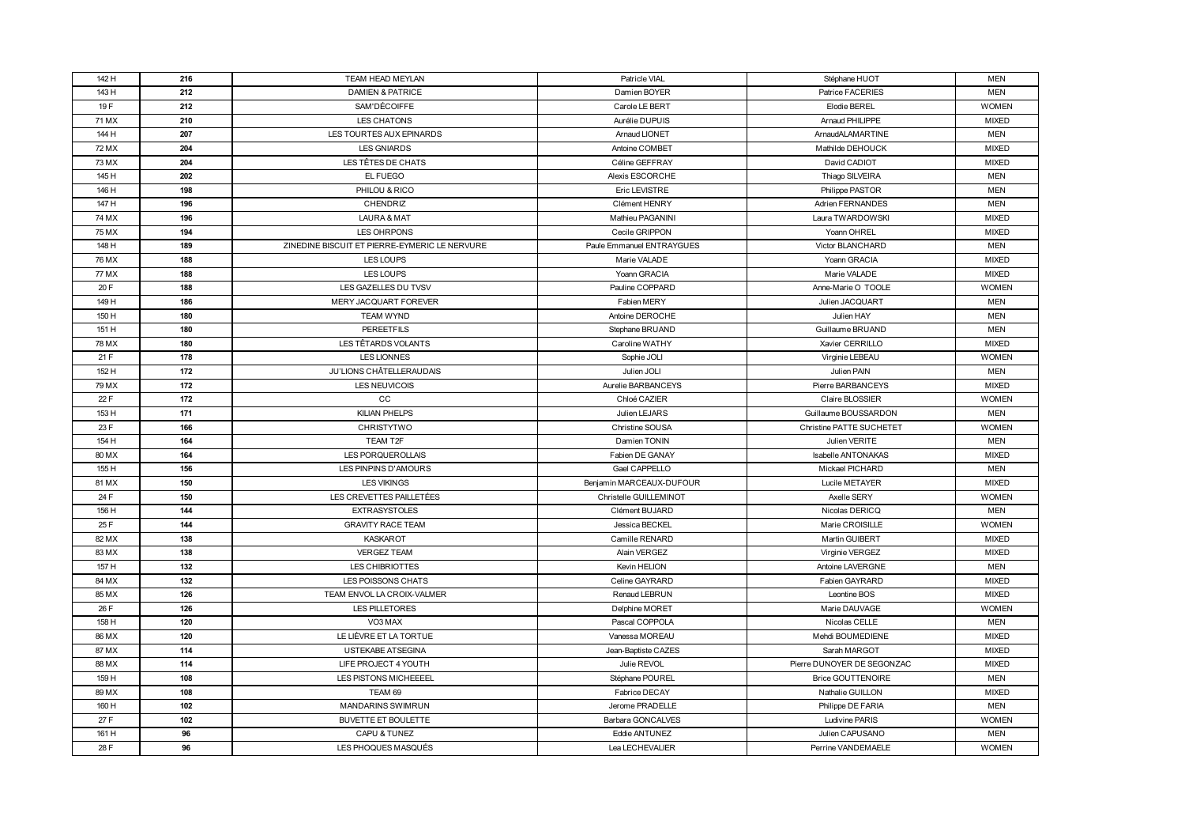| 142 H  | 216 | TEAM HEAD MEYLAN                              | Patricle VIAL             | Stéphane HUOT              | <b>MEN</b>   |
|--------|-----|-----------------------------------------------|---------------------------|----------------------------|--------------|
| 143 H  | 212 | <b>DAMIEN &amp; PATRICE</b>                   | Damien BOYER              | <b>Patrice FACERIES</b>    | <b>MEN</b>   |
| 19F    | 212 | SAM'DÉCOIFFE                                  | Carole LE BERT            | Elodie BEREL               | <b>WOMEN</b> |
| 71 MX  | 210 | LES CHATONS                                   | Aurélie DUPUIS            | Arnaud PHILIPPE            | <b>MIXED</b> |
| 144 H  | 207 | LES TOURTES AUX EPINARDS                      | <b>Arnaud LIONET</b>      | ArnaudALAMARTINE           | <b>MEN</b>   |
| 72 MX  | 204 | <b>LES GNIARDS</b>                            | Antoine COMBET            | Mathilde DEHOUCK           | <b>MIXED</b> |
| 73 MX  | 204 | LES TÊTES DE CHATS                            | Céline GEFFRAY            | David CADIOT               | <b>MIXED</b> |
| 145 H  | 202 | EL FUEGO                                      | <b>Alexis ESCORCHE</b>    | Thiago SILVEIRA            | <b>MEN</b>   |
| 146 H  | 198 | PHILOU & RICO                                 | Eric LEVISTRE             | Philippe PASTOR            | <b>MEN</b>   |
| 147 H  | 196 | <b>CHENDRIZ</b>                               | Clément HENRY             | <b>Adrien FERNANDES</b>    | <b>MEN</b>   |
| 74 MX  | 196 | LAURA & MAT                                   | Mathieu PAGANINI          | Laura TWARDOWSKI           | <b>MIXED</b> |
| 75 M X | 194 | LES OHRPONS                                   | Cecile GRIPPON            | Yoann OHREL                | <b>MIXED</b> |
| 148 H  | 189 | ZINEDINE BISCUIT ET PIERRE-EYMERIC LE NERVURE | Paule Emmanuel ENTRAYGUES | <b>Victor BLANCHARD</b>    | <b>MEN</b>   |
| 76 MX  | 188 | LES LOUPS                                     | Marie VALADE              | Yoann GRACIA               | <b>MIXED</b> |
| 77 MX  | 188 | LES LOUPS                                     | Yoann GRACIA              | Marie VALADE               | <b>MIXED</b> |
| 20 F   | 188 | LES GAZELLES DU TVSV                          | Pauline COPPARD           | Anne-Marie O TOOLE         | <b>WOMEN</b> |
| 149 H  | 186 | MERY JACQUART FOREVER                         | Fabien MERY               | Julien JACQUART            | <b>MEN</b>   |
| 150 H  | 180 | <b>TEAM WYND</b>                              | Antoine DEROCHE           | Julien HAY                 | <b>MEN</b>   |
| 151 H  | 180 | <b>PEREETFILS</b>                             | Stephane BRUAND           | Guillaume BRUAND           | <b>MEN</b>   |
| 78 MX  | 180 | LES TÊTARDS VOLANTS                           | Caroline WATHY            | Xavier CERRILLO            | <b>MIXED</b> |
| 21 F   | 178 | <b>LES LIONNES</b>                            | Sophie JOLI               | Virginie LEBEAU            | <b>WOMEN</b> |
| 152 H  | 172 | JU'LIONS CHÂTELLERAUDAIS                      | Julien JOLI               | Julien PAIN                | <b>MEN</b>   |
| 79 MX  | 172 | LES NEUVICOIS                                 | Aurelie BARBANCEYS        | Pierre BARBANCEYS          | <b>MIXED</b> |
| 22 F   | 172 | CC                                            | Chloé CAZIER              | Claire BLOSSIER            | <b>WOMEN</b> |
| 153 H  | 171 | <b>KILIAN PHELPS</b>                          | Julien LEJARS             | Guillaume BOUSSARDON       | <b>MEN</b>   |
| 23 F   | 166 | <b>CHRISTYTWO</b>                             | Christine SOUSA           | Christine PATTE SUCHETET   | <b>WOMEN</b> |
| 154 H  | 164 | TEAM T2F                                      | Damien TONIN              | Julien VERITE              | <b>MEN</b>   |
| 80 MX  | 164 | LES PORQUEROLLAIS                             | Fabien DE GANAY           | <b>Isabelle ANTONAKAS</b>  | <b>MIXED</b> |
| 155 H  | 156 | LES PINPINS D'AMOURS                          | Gael CAPPELLO             | Mickael PICHARD            | <b>MEN</b>   |
| 81 MX  | 150 | <b>LES VIKINGS</b>                            | Benjamin MARCEAUX-DUFOUR  | Lucile METAYER             | <b>MIXED</b> |
| 24 F   | 150 | LES CREVETTES PAILLETÉES                      | Christelle GUILLEMINOT    | Axelle SERY                | <b>WOMEN</b> |
| 156 H  | 144 | <b>EXTRASYSTOLES</b>                          | Clément BUJARD            | Nicolas DERICQ             | <b>MEN</b>   |
| 25 F   | 144 | <b>GRAVITY RACE TEAM</b>                      | Jessica BECKEL            | Marie CROISILLE            | <b>WOMEN</b> |
| 82 MX  | 138 | <b>KASKAROT</b>                               | Camille RENARD            | Martin GUIBERT             | <b>MIXED</b> |
| 83 MX  | 138 | <b>VERGEZ TEAM</b>                            | Alain VERGEZ              | Virginie VERGEZ            | <b>MIXED</b> |
| 157 H  | 132 | LES CHIBRIOTTES                               | Kevin HELION              | Antoine LAVERGNE           | <b>MEN</b>   |
| 84 MX  | 132 | LES POISSONS CHATS                            | Celine GAYRARD            | Fabien GAYRARD             | <b>MIXED</b> |
| 85 MX  | 126 | TEAM ENVOL LA CROIX-VALMER                    | Renaud LEBRUN             | Leontine BOS               | <b>MIXED</b> |
| 26 F   | 126 | LES PILLETORES                                | Delphine MORET            | Marie DAUVAGE              | <b>WOMEN</b> |
| 158 H  | 120 | VO3 MAX                                       | Pascal COPPOLA            | Nicolas CELLE              | <b>MEN</b>   |
| 86 MX  | 120 | LE LIÈVRE ET LA TORTUE                        | Vanessa MOREAU            | Mehdi BOUMEDIENE           | <b>MIXED</b> |
| 87 MX  | 114 | USTEKABE ATSEGINA                             | Jean-Baptiste CAZES       | Sarah MARGOT               | <b>MIXED</b> |
| 88 M X | 114 | LIFE PROJECT 4 YOUTH                          | Julie REVOL               | Pierre DUNOYER DE SEGONZAC | <b>MIXED</b> |
| 159 H  | 108 | LES PISTONS MICHEEEEL                         | Stéphane POUREL           | <b>Brice GOUTTENOIRE</b>   | <b>MEN</b>   |
| 89 MX  | 108 | TEAM 69                                       | Fabrice DECAY             | Nathalie GUILLON           | <b>MIXED</b> |
| 160 H  | 102 | <b>MANDARINS SWIMRUN</b>                      | Jerome PRADELLE           | Philippe DE FARIA          | <b>MEN</b>   |
| 27 F   | 102 | <b>BUVETTE ET BOULETTE</b>                    | Barbara GONCALVES         | Ludivine PARIS             | <b>WOMEN</b> |
| 161 H  | 96  | CAPU & TUNEZ                                  | Eddie ANTUNEZ             | Julien CAPUSANO            | <b>MEN</b>   |
| 28 F   | 96  | LES PHOQUES MASQUÉS                           | Lea LECHEVALIER           | Perrine VANDEMAELE         | <b>WOMEN</b> |
|        |     |                                               |                           |                            |              |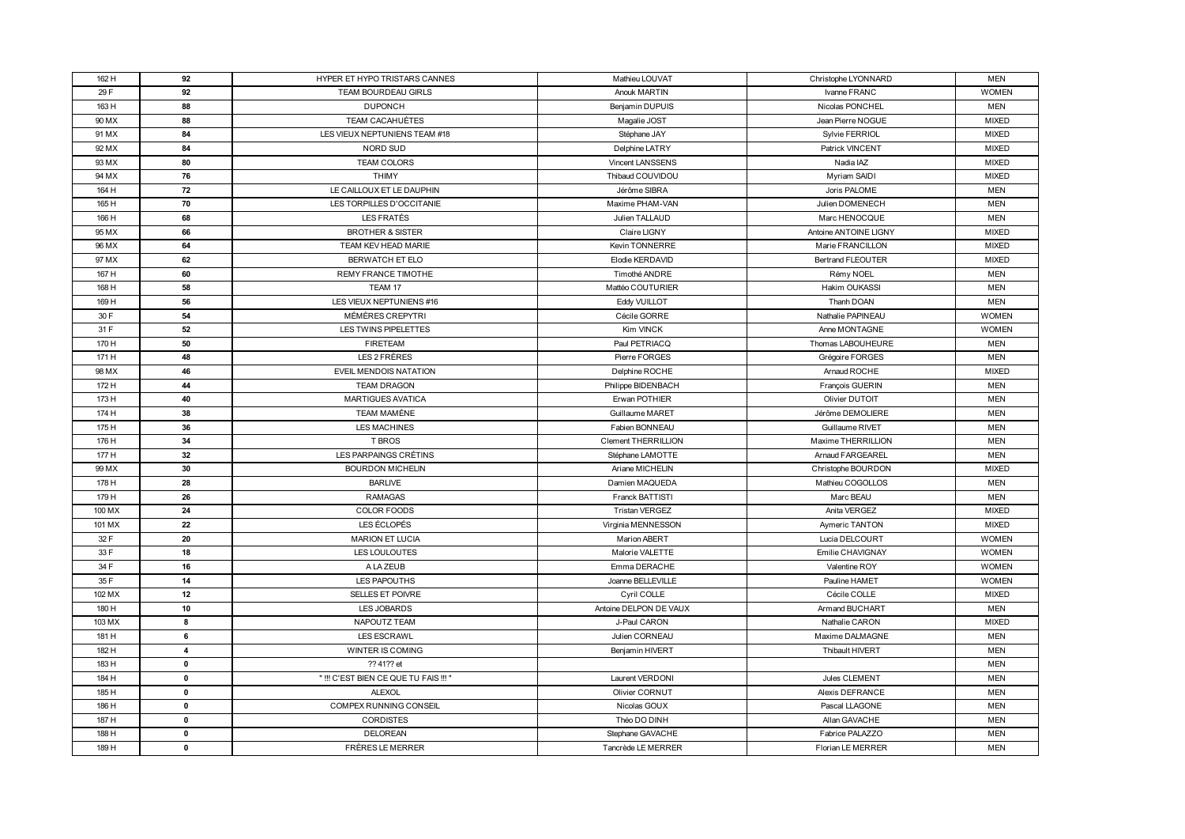| 162 H  | 92           | HYPER ET HYPO TRISTARS CANNES         | Mathieu LOUVAT             | Christophe LYONNARD      | <b>MEN</b>   |
|--------|--------------|---------------------------------------|----------------------------|--------------------------|--------------|
| 29 F   | 92           | TEAM BOURDEAU GIRLS                   | Anouk MARTIN               | Ivanne FRANC             | <b>WOMEN</b> |
| 163 H  | 88           | <b>DUPONCH</b>                        | Benjamin DUPUIS            | Nicolas PONCHEL          | <b>MEN</b>   |
| 90 MX  | 88           | TEAM CACAHUÈTES                       | Magalie JOST               | Jean Pierre NOGUE        | <b>MIXED</b> |
| 91 MX  | 84           | LES VIEUX NEPTUNIENS TEAM #18         | Stéphane JAY               | Sylvie FERRIOL           | <b>MIXED</b> |
| 92 MX  | 84           | NORD SUD                              | Delphine LATRY             | Patrick VINCENT          | <b>MIXED</b> |
| 93 MX  | 80           | TEAM COLORS                           | <b>Vincent LANSSENS</b>    | Nadia IAZ                | <b>MIXED</b> |
| 94 MX  | 76           | <b>THIMY</b>                          | Thibaud COUVIDOU           | Myriam SAIDI             | <b>MIXED</b> |
| 164 H  | 72           | LE CAILLOUX ET LE DAUPHIN             | Jérôme SIBRA               | Joris PALOME             | <b>MEN</b>   |
| 165 H  | 70           | LES TORPILLES D'OCCITANIE             | Maxime PHAM-VAN            | Julien DOMENECH          | <b>MEN</b>   |
| 166 H  | 68           | LES FRATÉS                            | Julien TALLAUD             | Marc HENOCQUE            | <b>MEN</b>   |
| 95 MX  | 66           | <b>BROTHER &amp; SISTER</b>           | Claire LIGNY               | Antoine ANTOINE LIGNY    | <b>MIXED</b> |
| 96 MX  | 64           | TEAM KEV HEAD MARIE                   | Kevin TONNERRE             | Marie FRANCILLON         | <b>MIXED</b> |
| 97 MX  | 62           | BERWATCH ET ELO                       | Elodie KERDAVID            | <b>Bertrand FLEOUTER</b> | <b>MIXED</b> |
| 167 H  | 60           | <b>REMY FRANCE TIMOTHE</b>            | Timothé ANDRE              | Rémy NOEL                | <b>MEN</b>   |
| 168 H  | 58           | TEAM 17                               | Mattéo COUTURIER           | Hakim OUKASSI            | <b>MEN</b>   |
| 169 H  | 56           | LES VIEUX NEPTUNIENS #16              | <b>Eddy VUILLOT</b>        | Thanh DOAN               | <b>MEN</b>   |
| 30 F   | 54           | MÉMÈRES CREPYTRI                      | Cécile GORRE               | Nathalie PAPINEAU        | <b>WOMEN</b> |
| 31 F   | 52           | LES TWINS PIPELETTES                  | Kim VINCK                  | Anne MONTAGNE            | <b>WOMEN</b> |
| 170 H  | 50           | <b>FIRETEAM</b>                       | Paul PETRIACQ              | Thomas LABOUHEURE        | <b>MEN</b>   |
| 171 H  | 48           | LES 2 FRÈRES                          | Pierre FORGES              | Grégoire FORGES          | <b>MEN</b>   |
| 98 MX  | 46           | EVEIL MENDOIS NATATION                | Delphine ROCHE             | Arnaud ROCHE             | <b>MIXED</b> |
| 172 H  | 44           | <b>TEAM DRAGON</b>                    | Philippe BIDENBACH         | François GUERIN          | <b>MEN</b>   |
| 173 H  | 40           | <b>MARTIGUES AVATICA</b>              | Erwan POTHIER              | Olivier DUTOIT           | <b>MEN</b>   |
| 174 H  | 38           | TEAM MAMÈNE                           | Guillaume MARET            | Jérôme DEMOLIERE         | <b>MEN</b>   |
| 175 H  | 36           | LES MACHINES                          | Fabien BONNEAU             | Guillaume RIVET          | <b>MEN</b>   |
| 176 H  | 34           | T BROS                                | <b>Clement THERRILLION</b> | Maxime THERRILLION       | <b>MEN</b>   |
| 177 H  | 32           | LES PARPAINGS CRÉTINS                 | Stéphane LAMOTTE           | <b>Arnaud FARGEAREL</b>  | <b>MEN</b>   |
| 99 MX  | 30           | <b>BOURDON MICHELIN</b>               | Ariane MICHELIN            | Christophe BOURDON       | <b>MIXED</b> |
| 178 H  | 28           | <b>BARLIVE</b>                        | Damien MAQUEDA             | Mathieu COGOLLOS         | <b>MEN</b>   |
| 179 H  | 26           | <b>RAMAGAS</b>                        | Franck BATTISTI            | Marc BEAU                | <b>MEN</b>   |
| 100 MX | 24           | COLOR FOODS                           | <b>Tristan VERGEZ</b>      | Anita VERGEZ             | <b>MIXED</b> |
| 101 MX | 22           | LES ÉCLOPÉS                           | Virginia MENNESSON         | <b>Aymeric TANTON</b>    | <b>MIXED</b> |
| 32 F   | 20           | <b>MARION ET LUCIA</b>                | <b>Marion ABERT</b>        | Lucia DELCOURT           | <b>WOMEN</b> |
| 33 F   | 18           | LES LOULOUTES                         | Malorie VALETTE            | Emilie CHAVIGNAY         | <b>WOMEN</b> |
| 34 F   | 16           | A LA ZEUB                             | Emma DERACHE               | Valentine ROY            | <b>WOMEN</b> |
| 35 F   | 14           | LES PAPOUTHS                          | Joanne BELLEVILLE          | Pauline HAMET            | <b>WOMEN</b> |
| 102 MX | 12           | SELLES ET POIVRE                      | Cyril COLLE                | Cécile COLLE             | MIXED        |
| 180 H  | 10           | LES JOBARDS                           | Antoine DELPON DE VAUX     | Armand BUCHART           | <b>MEN</b>   |
| 103 MX | 8            | NAPOUTZ TEAM                          | J-Paul CARON               | Nathalie CARON           | <b>MIXED</b> |
| 181 H  | 6            | <b>LES ESCRAWL</b>                    | Julien CORNEAU             | Maxime DALMAGNE          | <b>MEN</b>   |
| 182 H  | 4            | WINTER IS COMING                      | Benjamin HIVERT            | Thibault HIVERT          | <b>MEN</b>   |
| 183 H  | $\mathbf 0$  | ?? 41?? et                            |                            |                          | <b>MEN</b>   |
| 184 H  | $\mathbf 0$  | " !!! C'EST BIEN CE QUE TU FAIS !!! " | Laurent VERDONI            | Jules CLEMENT            | <b>MEN</b>   |
| 185 H  | $\mathbf{0}$ | <b>ALEXOL</b>                         | Olivier CORNUT             | Alexis DEFRANCE          | <b>MEN</b>   |
| 186 H  | $\mathbf 0$  | <b>COMPEX RUNNING CONSEIL</b>         | Nicolas GOUX               | Pascal LLAGONE           | <b>MEN</b>   |
| 187 H  | 0            | <b>CORDISTES</b>                      | Théo DO DINH               | Allan GAVACHE            | <b>MEN</b>   |
| 188 H  | $\mathbf 0$  | DELOREAN                              | Stephane GAVACHE           | Fabrice PALAZZO          | <b>MEN</b>   |
| 189 H  | 0            | FRÈRES LE MERRER                      | Tancrède LE MERRER         | Florian LE MERRER        | <b>MEN</b>   |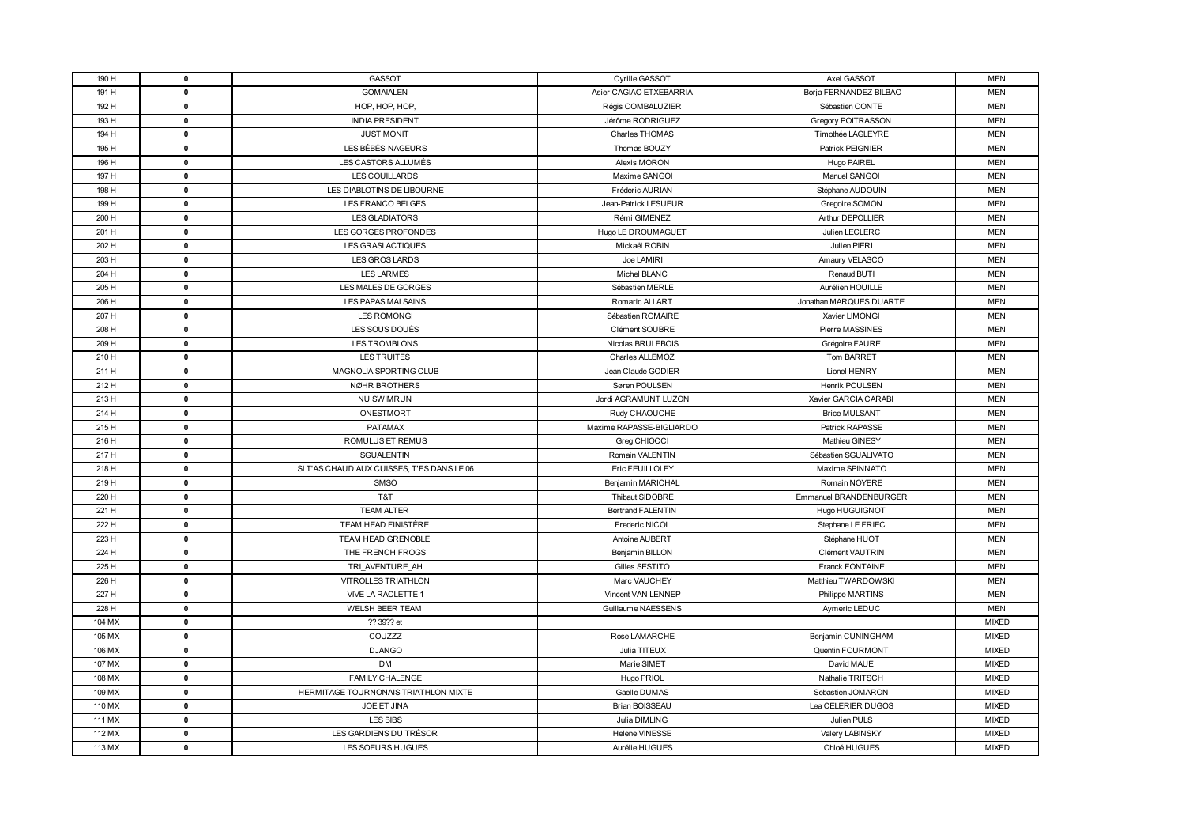| 190 H  | $\mathbf 0$  | GASSOT                                     | Cyrille GASSOT           | Axel GASSOT             | <b>MEN</b>   |
|--------|--------------|--------------------------------------------|--------------------------|-------------------------|--------------|
| 191 H  | $\mathbf{0}$ | <b>GOMAIALEN</b>                           | Asier CAGIAO ETXEBARRIA  | Borja FERNANDEZ BILBAO  | <b>MEN</b>   |
| 192 H  | $\mathbf 0$  | HOP, HOP, HOP,                             | Régis COMBALUZIER        | Sébastien CONTE         | <b>MEN</b>   |
| 193 H  | $\mathbf 0$  | <b>INDIA PRESIDENT</b>                     | Jérôme RODRIGUEZ         | Gregory POITRASSON      | <b>MEN</b>   |
| 194 H  | $\mathbf 0$  | <b>JUST MONIT</b>                          | Charles THOMAS           | Timothée LAGLEYRE       | <b>MEN</b>   |
| 195 H  | $\mathbf 0$  | LES BÉBÉS-NAGEURS                          | Thomas BOUZY             | <b>Patrick PEIGNIER</b> | <b>MEN</b>   |
| 196 H  | $\mathbf 0$  | LES CASTORS ALLUMÉS                        | Alexis MORON             | Hugo PAIREL             | <b>MEN</b>   |
| 197 H  | $\mathbf 0$  | LES COUILLARDS                             | Maxime SANGOI            | Manuel SANGOI           | <b>MEN</b>   |
| 198 H  | $\mathbf 0$  | LES DIABLOTINS DE LIBOURNE                 | Fréderic AURIAN          | Stéphane AUDOUIN        | <b>MEN</b>   |
| 199 H  | $\mathbf 0$  | LES FRANCO BELGES                          | Jean-Patrick LESUEUR     | Gregoire SOMON          | <b>MEN</b>   |
| 200 H  | $\mathbf 0$  | <b>LES GLADIATORS</b>                      | Rémi GIMENEZ             | Arthur DEPOLLIER        | <b>MEN</b>   |
| 201 H  | $\mathbf 0$  | LES GORGES PROFONDES                       | Hugo LE DROUMAGUET       | Julien LECLERC          | <b>MEN</b>   |
| 202 H  | $\mathbf 0$  | LES GRASLACTIQUES                          | Mickaël ROBIN            | Julien PIERI            | <b>MEN</b>   |
| 203 H  | $\mathbf 0$  | LES GROS LARDS                             | Joe LAMIRI               | Amaury VELASCO          | <b>MEN</b>   |
| 204 H  | $\mathbf 0$  | <b>LES LARMES</b>                          | Michel BLANC             | Renaud BUTI             | <b>MEN</b>   |
| 205 H  | $\mathbf 0$  | LES MALES DE GORGES                        | Sébastien MERLE          | Aurélien HOUILLE        | <b>MEN</b>   |
| 206 H  | $\mathbf 0$  | LES PAPAS MALSAINS                         | Romaric ALLART           | Jonathan MARQUES DUARTE | <b>MEN</b>   |
| 207 H  | $\mathbf 0$  | <b>LES ROMONGI</b>                         | Sébastien ROMAIRE        | Xavier LIMONGI          | <b>MEN</b>   |
| 208 H  | $\mathbf 0$  | LES SOUS DOUÉS                             | Clément SOUBRE           | Pierre MASSINES         | <b>MEN</b>   |
| 209 H  | $\mathbf 0$  | LES TROMBLONS                              | Nicolas BRULEBOIS        | Grégoire FAURE          | <b>MEN</b>   |
| 210 H  | $\mathbf 0$  | LES TRUITES                                | Charles ALLEMOZ          | Tom BARRET              | <b>MEN</b>   |
| 211 H  | $\mathbf 0$  | MAGNOLIA SPORTING CLUB                     | Jean Claude GODIER       | Lionel HENRY            | <b>MEN</b>   |
| 212 H  | $\mathbf 0$  | NØHR BROTHERS                              | Søren POULSEN            | Henrik POULSEN          | <b>MEN</b>   |
| 213 H  | $\mathbf 0$  | <b>NU SWIMRUN</b>                          | Jordi AGRAMUNT LUZON     | Xavier GARCIA CARABI    | <b>MEN</b>   |
| 214 H  | $\mathbf 0$  | ONESTMORT                                  | Rudy CHAOUCHE            | <b>Brice MULSANT</b>    | <b>MEN</b>   |
| 215 H  | $\mathbf 0$  | <b>PATAMAX</b>                             | Maxime RAPASSE-BIGLIARDO | Patrick RAPASSE         | <b>MEN</b>   |
| 216 H  | $\mathbf 0$  | ROMULUS ET REMUS                           | Greg CHIOCCI             | Mathieu GINESY          | <b>MEN</b>   |
| 217 H  | $\mathbf 0$  | <b>SGUALENTIN</b>                          | Romain VALENTIN          | Sébastien SGUALIVATO    | <b>MEN</b>   |
| 218 H  | $\mathbf 0$  | SI T'AS CHAUD AUX CUISSES, T'ES DANS LE 06 | Eric FEUILLOLEY          | Maxime SPINNATO         | <b>MEN</b>   |
| 219 H  | $\mathbf 0$  | <b>SMSO</b>                                | Benjamin MARICHAL        | Romain NOYERE           | <b>MEN</b>   |
| 220 H  | $\mathbf 0$  | T&T                                        | Thibaut SIDOBRE          | Emmanuel BRANDENBURGER  | <b>MEN</b>   |
| 221 H  | $\mathbf 0$  | <b>TEAM ALTER</b>                          | <b>Bertrand FALENTIN</b> | Hugo HUGUIGNOT          | <b>MEN</b>   |
| 222 H  | $\mathbf 0$  | TEAM HEAD FINISTÈRE                        | Frederic NICOL           | Stephane LE FRIEC       | <b>MEN</b>   |
| 223 H  | $\mathbf 0$  | TEAM HEAD GRENOBLE                         | Antoine AUBERT           | Stéphane HUOT           | <b>MEN</b>   |
| 224 H  | $\mathbf 0$  | THE FRENCH FROGS                           | Benjamin BILLON          | <b>Clément VAUTRIN</b>  | <b>MEN</b>   |
| 225 H  | 0            | TRI AVENTURE AH                            | Gilles SESTITO           | Franck FONTAINE         | <b>MEN</b>   |
| 226 H  | $\mathbf 0$  | <b>VITROLLES TRIATHLON</b>                 | Marc VAUCHEY             | Matthieu TWARDOWSKI     | <b>MEN</b>   |
| 227 H  | $\mathbf 0$  | VIVE LA RACLETTE 1                         | Vincent VAN LENNEP       | Philippe MARTINS        | <b>MEN</b>   |
| 228 H  | $\mathbf 0$  | <b>WELSH BEER TEAM</b>                     | Guillaume NAESSENS       | Aymeric LEDUC           | <b>MEN</b>   |
| 104 MX | $\mathbf 0$  | ?? 39?? et                                 |                          |                         | <b>MIXED</b> |
| 105 MX | $\mathbf 0$  | COUZZZ                                     | Rose LAMARCHE            | Benjamin CUNINGHAM      | <b>MIXED</b> |
| 106 MX | 0            | <b>DJANGO</b>                              | Julia TITEUX             | Quentin FOURMONT        | <b>MIXED</b> |
| 107 MX | $\mathbf 0$  | DM                                         | Marie SIMET              | David MAUE              | <b>MIXED</b> |
| 108 MX | $\mathbf 0$  | <b>FAMILY CHALENGE</b>                     | Hugo PRIOL               | Nathalie TRITSCH        | <b>MIXED</b> |
| 109 MX | $\mathbf 0$  | HERMITAGE TOURNONAIS TRIATHLON MIXTE       | Gaelle DUMAS             | Sebastien JOMARON       | <b>MIXED</b> |
| 110 MX | $\mathbf{0}$ | JOE ET JINA                                | <b>Brian BOISSEAU</b>    | Lea CELERIER DUGOS      | <b>MIXED</b> |
| 111 MX | $\mathbf 0$  | LES BIBS                                   | Julia DIMLING            | Julien PULS             | <b>MIXED</b> |
| 112 MX | 0            | LES GARDIENS DU TRÉSOR                     | Helene VINESSE           | Valery LABINSKY         | <b>MIXED</b> |
| 113 MX | $\mathbf 0$  | LES SOEURS HUGUES                          | Aurélie HUGUES           | Chloé HUGUES            | <b>MIXED</b> |